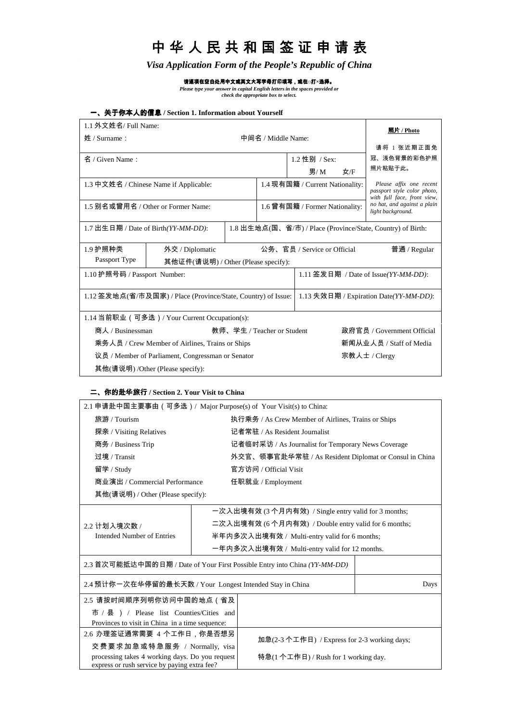# 中华人民共和国签证申请表

*Visa Application Form of the People's Republic of China*

请逐项在空白处用中文或英文大写字母打印填写,或在□打**×**选择。

*Please type your answer in capital English letters in the spaces provided or check the appropriate box to select.*

## 一、关于你本人的信息 **/ Section 1. Information about Yourself**

| 1.1 外文姓名/ Full Name:                                                                               |                 |  |                                        | 照片 / Photo                     |                                                                                       |                                                  |
|----------------------------------------------------------------------------------------------------|-----------------|--|----------------------------------------|--------------------------------|---------------------------------------------------------------------------------------|--------------------------------------------------|
| 中间名 / Middle Name:<br>姓 / Surname:                                                                 |                 |  |                                        |                                |                                                                                       |                                                  |
|                                                                                                    |                 |  |                                        |                                | 请将 1 张近期正面免                                                                           |                                                  |
| 名 / Given Name:                                                                                    |                 |  |                                        | 1.2 性别 / Sex:                  |                                                                                       | 冠、浅色背景的彩色护照                                      |
| 男/ M<br>女/F                                                                                        |                 |  | 照片粘贴于此。                                |                                |                                                                                       |                                                  |
| 1.3 中文姓名 / Chinese Name if Applicable:                                                             |                 |  | 1.4 现有国籍 / Current Nationality:        |                                | Please affix one recent<br>passport style color photo,<br>with full face, front view, |                                                  |
| 1.5 别名或曾用名 / Other or Former Name:                                                                 |                 |  |                                        | 1.6 曾有国籍 / Former Nationality: |                                                                                       | no hat, and against a plain<br>light background. |
| 1.7 出生日期 / Date of Birth(YY-MM-DD):<br>1.8 出生地点(国、省/市) / Place (Province/State, Country) of Birth: |                 |  |                                        |                                |                                                                                       |                                                  |
| 1.9 护照种类                                                                                           | 外交 / Diplomatic |  |                                        | 公务、官员 / Service or Official    |                                                                                       | 普通 / $Regular$                                   |
| Passport Type<br>其他证件(请说明) / Other (Please specify):                                               |                 |  |                                        |                                |                                                                                       |                                                  |
| 1.10 护照号码 / Passport Number:                                                                       |                 |  | 1.11 签发日期 / Date of Issue(YY-MM-DD):   |                                |                                                                                       |                                                  |
| 1.12 签发地点(省/市及国家) / Place (Province/State, Country) of Issue:                                      |                 |  | 1.13 失效日期 / Expiration Date(YY-MM-DD): |                                |                                                                                       |                                                  |
| 1.14 当前职业 (可多选) / Your Current Occupation(s):                                                      |                 |  |                                        |                                |                                                                                       |                                                  |
| 商人 / Businessman<br>教师、学生 / Teacher or Student                                                     |                 |  | 政府官员 / Government Official             |                                |                                                                                       |                                                  |
| 乘务人员 / Crew Member of Airlines, Trains or Ships                                                    |                 |  | 新闻从业人员 / Staff of Media                |                                |                                                                                       |                                                  |
| 议员 / Member of Parliament, Congressman or Senator                                                  |                 |  | 宗教人士 / Clergy                          |                                |                                                                                       |                                                  |
| 其他(请说明) /Other (Please specify):                                                                   |                 |  |                                        |                                |                                                                                       |                                                  |

#### 二、你的赴华旅行 **/ Section 2. Your Visit to China**

| 2.1 申请赴中国主要事由 ( 可多选 ) / Major Purpose(s) of Your Visit(s) to China:                             |                                                      |                                                       |      |  |
|-------------------------------------------------------------------------------------------------|------------------------------------------------------|-------------------------------------------------------|------|--|
| 旅游 / Tourism                                                                                    |                                                      | 执行乘务 / As Crew Member of Airlines, Trains or Ships    |      |  |
| 探亲 / Visiting Relatives                                                                         |                                                      | 记者常驻 / As Resident Journalist                         |      |  |
| 商务 / Business Trip                                                                              |                                                      | 记者临时采访 / As Journalist for Temporary News Coverage    |      |  |
| 过境 / Transit                                                                                    |                                                      | 外交官、领事官赴华常驻 / As Resident Diplomat or Consul in China |      |  |
| 留学 / Study                                                                                      |                                                      | 官方访问 / Official Visit                                 |      |  |
| 商业演出 / Commercial Performance                                                                   |                                                      | 任职就业 / Employment                                     |      |  |
| 其他(请说明) / Other (Please specify):                                                               |                                                      |                                                       |      |  |
|                                                                                                 |                                                      | 一次入出境有效 (3 个月内有效) / Single entry valid for 3 months;  |      |  |
| $2.2$ 计划入境次数 /                                                                                  | 二次入出境有效 (6 个月内有效) / Double entry valid for 6 months; |                                                       |      |  |
| Intended Number of Entries                                                                      | 半年内多次入出境有效 / Multi-entry valid for 6 months;         |                                                       |      |  |
|                                                                                                 |                                                      | 一年内多次入出境有效 / Multi-entry valid for 12 months.         |      |  |
| 2.3 首次可能抵达中国的日期 / Date of Your First Possible Entry into China (YY-MM-DD)                       |                                                      |                                                       |      |  |
| 2.4 预计你一次在华停留的最长天数 / Your Longest Intended Stay in China                                        |                                                      |                                                       | Days |  |
| 2.5 请按时间顺序列明你访问中国的地点 (省及                                                                        |                                                      |                                                       |      |  |
| 市 / 县 ) / Please list Counties/Cities and                                                       |                                                      |                                                       |      |  |
| Provinces to visit in China in a time sequence:                                                 |                                                      |                                                       |      |  |
| 2.6 办理签证通常需要 4 个工作日,你是否想另                                                                       |                                                      | 加急(2-3个工作日) / Express for 2-3 working days;           |      |  |
| 交费要求加急或特急服务 / Normally, visa                                                                    |                                                      |                                                       |      |  |
| processing takes 4 working days. Do you request<br>express or rush service by paying extra fee? |                                                      | 特急(1个工作日) / Rush for 1 working day.                   |      |  |
|                                                                                                 |                                                      |                                                       |      |  |